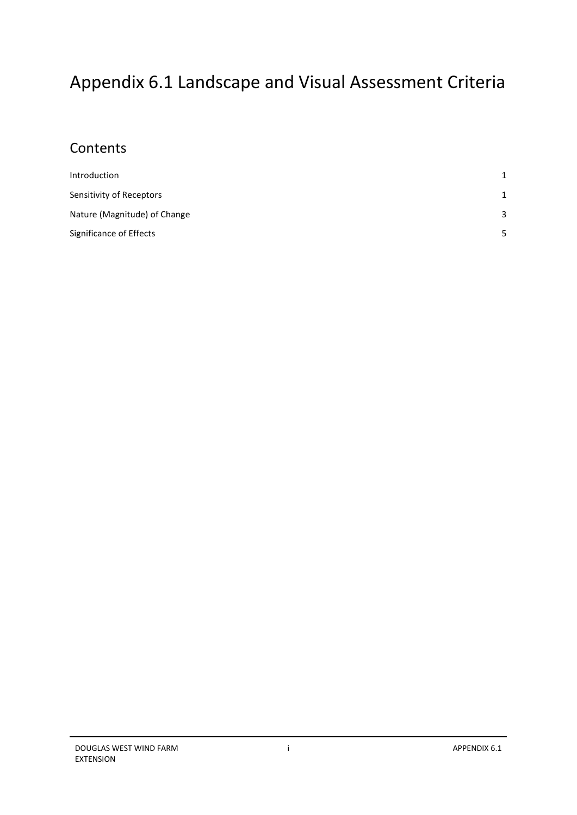# Appendix 6.1 Landscape and Visual Assessment Criteria

## **Contents**

| Introduction                 | $\mathbf{1}$ |
|------------------------------|--------------|
| Sensitivity of Receptors     | $\mathbf{1}$ |
| Nature (Magnitude) of Change | 3            |
| Significance of Effects      | д            |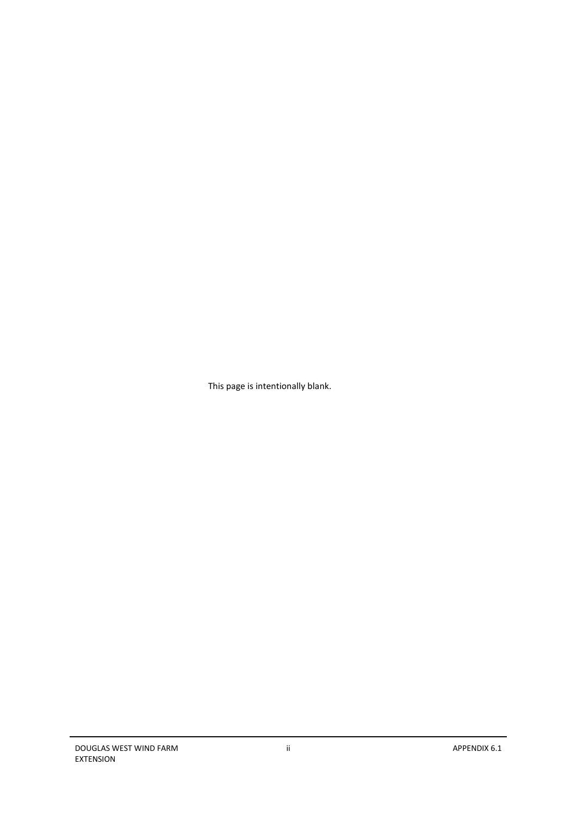This page is intentionally blank.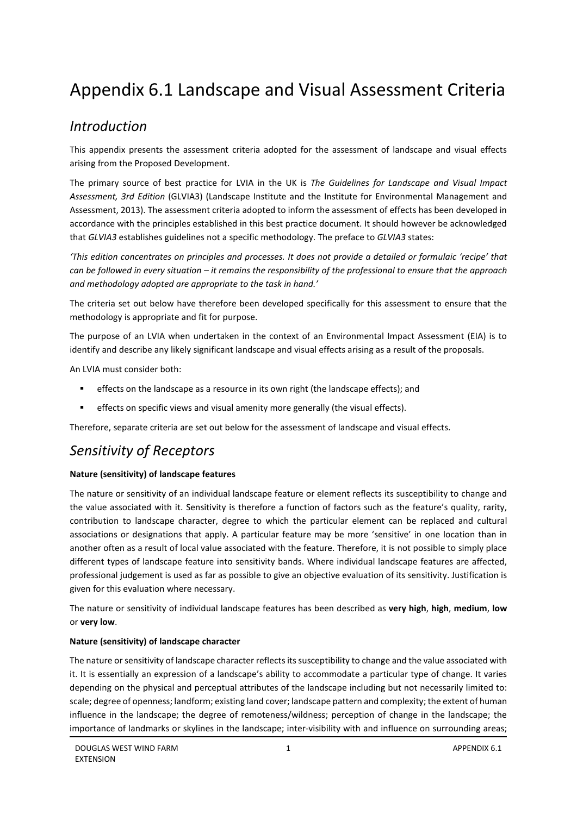# Appendix 6.1 Landscape and Visual Assessment Criteria

### <span id="page-2-0"></span>*Introduction*

This appendix presents the assessment criteria adopted for the assessment of landscape and visual effects arising from the Proposed Development.

The primary source of best practice for LVIA in the UK is *The Guidelines for Landscape and Visual Impact Assessment, 3rd Edition* (GLVIA3) (Landscape Institute and the Institute for Environmental Management and Assessment, 2013). The assessment criteria adopted to inform the assessment of effects has been developed in accordance with the principles established in this best practice document. It should however be acknowledged that *GLVIA3* establishes guidelines not a specific methodology. The preface to *GLVIA3* states:

*'This edition concentrates on principles and processes. It does not provide a detailed or formulaic 'recipe' that can be followed in every situation – it remains the responsibility of the professional to ensure that the approach and methodology adopted are appropriate to the task in hand.'*

The criteria set out below have therefore been developed specifically for this assessment to ensure that the methodology is appropriate and fit for purpose.

The purpose of an LVIA when undertaken in the context of an Environmental Impact Assessment (EIA) is to identify and describe any likely significant landscape and visual effects arising as a result of the proposals.

An LVIA must consider both:

- effects on the landscape as a resource in its own right (the landscape effects); and
- **EXECTE SHETE:** effects on specific views and visual amenity more generally (the visual effects).

Therefore, separate criteria are set out below for the assessment of landscape and visual effects.

### <span id="page-2-1"></span>*Sensitivity of Receptors*

### **Nature (sensitivity) of landscape features**

The nature or sensitivity of an individual landscape feature or element reflects its susceptibility to change and the value associated with it. Sensitivity is therefore a function of factors such as the feature's quality, rarity, contribution to landscape character, degree to which the particular element can be replaced and cultural associations or designations that apply. A particular feature may be more 'sensitive' in one location than in another often as a result of local value associated with the feature. Therefore, it is not possible to simply place different types of landscape feature into sensitivity bands. Where individual landscape features are affected, professional judgement is used as far as possible to give an objective evaluation of its sensitivity. Justification is given for this evaluation where necessary.

The nature or sensitivity of individual landscape features has been described as **very high**, **high**, **medium**, **low** or **very low**.

### **Nature (sensitivity) of landscape character**

The nature or sensitivity of landscape character reflects its susceptibility to change and the value associated with it. It is essentially an expression of a landscape's ability to accommodate a particular type of change. It varies depending on the physical and perceptual attributes of the landscape including but not necessarily limited to: scale; degree of openness; landform; existing land cover; landscape pattern and complexity; the extent of human influence in the landscape; the degree of remoteness/wildness; perception of change in the landscape; the importance of landmarks or skylines in the landscape; inter-visibility with and influence on surrounding areas;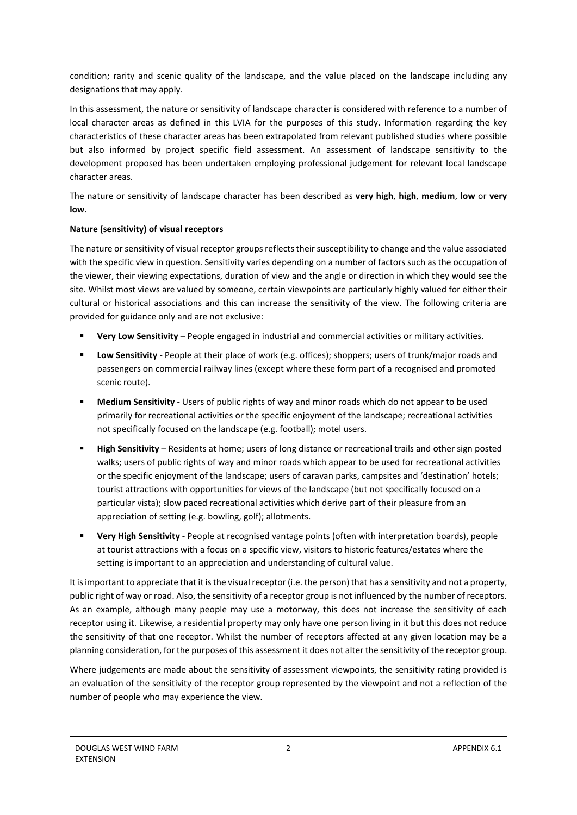condition; rarity and scenic quality of the landscape, and the value placed on the landscape including any designations that may apply.

In this assessment, the nature or sensitivity of landscape character is considered with reference to a number of local character areas as defined in this LVIA for the purposes of this study. Information regarding the key characteristics of these character areas has been extrapolated from relevant published studies where possible but also informed by project specific field assessment. An assessment of landscape sensitivity to the development proposed has been undertaken employing professional judgement for relevant local landscape character areas.

The nature or sensitivity of landscape character has been described as **very high**, **high**, **medium**, **low** or **very low**.

### **Nature (sensitivity) of visual receptors**

The nature or sensitivity of visual receptor groups reflects their susceptibility to change and the value associated with the specific view in question. Sensitivity varies depending on a number of factors such as the occupation of the viewer, their viewing expectations, duration of view and the angle or direction in which they would see the site. Whilst most views are valued by someone, certain viewpoints are particularly highly valued for either their cultural or historical associations and this can increase the sensitivity of the view. The following criteria are provided for guidance only and are not exclusive:

- **Very Low Sensitivity** People engaged in industrial and commercial activities or military activities.
- **Low Sensitivity** People at their place of work (e.g. offices); shoppers; users of trunk/major roads and passengers on commercial railway lines (except where these form part of a recognised and promoted scenic route).
- **Medium Sensitivity** Users of public rights of way and minor roads which do not appear to be used primarily for recreational activities or the specific enjoyment of the landscape; recreational activities not specifically focused on the landscape (e.g. football); motel users.
- **High Sensitivity** Residents at home; users of long distance or recreational trails and other sign posted walks; users of public rights of way and minor roads which appear to be used for recreational activities or the specific enjoyment of the landscape; users of caravan parks, campsites and 'destination' hotels; tourist attractions with opportunities for views of the landscape (but not specifically focused on a particular vista); slow paced recreational activities which derive part of their pleasure from an appreciation of setting (e.g. bowling, golf); allotments.
- **Very High Sensitivity** People at recognised vantage points (often with interpretation boards), people at tourist attractions with a focus on a specific view, visitors to historic features/estates where the setting is important to an appreciation and understanding of cultural value.

It is important to appreciate that it is the visual receptor (i.e. the person) that has a sensitivity and not a property, public right of way or road. Also, the sensitivity of a receptor group is not influenced by the number of receptors. As an example, although many people may use a motorway, this does not increase the sensitivity of each receptor using it. Likewise, a residential property may only have one person living in it but this does not reduce the sensitivity of that one receptor. Whilst the number of receptors affected at any given location may be a planning consideration, for the purposes of this assessment it does not alter the sensitivity of the receptor group.

Where judgements are made about the sensitivity of assessment viewpoints, the sensitivity rating provided is an evaluation of the sensitivity of the receptor group represented by the viewpoint and not a reflection of the number of people who may experience the view.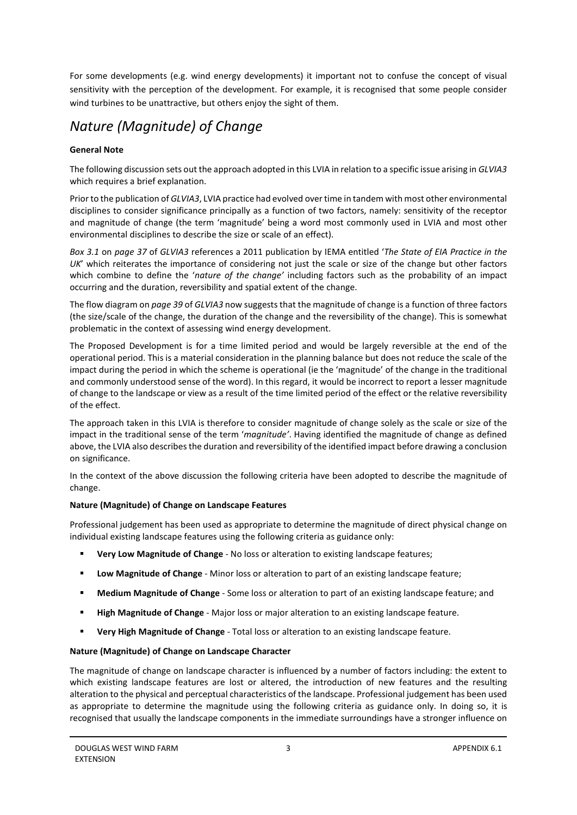For some developments (e.g. wind energy developments) it important not to confuse the concept of visual sensitivity with the perception of the development. For example, it is recognised that some people consider wind turbines to be unattractive, but others enjoy the sight of them.

## <span id="page-4-0"></span>*Nature (Magnitude) of Change*

### **General Note**

The following discussion sets out the approach adopted in this LVIA in relation to a specific issue arising in *GLVIA3* which requires a brief explanation.

Prior to the publication of *GLVIA3*, LVIA practice had evolved over time in tandem with most other environmental disciplines to consider significance principally as a function of two factors, namely: sensitivity of the receptor and magnitude of change (the term 'magnitude' being a word most commonly used in LVIA and most other environmental disciplines to describe the size or scale of an effect).

*Box 3.1* on *page 37* of *GLVIA3* references a 2011 publication by IEMA entitled '*The State of EIA Practice in the UK*' which reiterates the importance of considering not just the scale or size of the change but other factors which combine to define the '*nature of the change'* including factors such as the probability of an impact occurring and the duration, reversibility and spatial extent of the change.

The flow diagram on *page 39* of *GLVIA3* now suggests that the magnitude of change is a function of three factors (the size/scale of the change, the duration of the change and the reversibility of the change). This is somewhat problematic in the context of assessing wind energy development.

The Proposed Development is for a time limited period and would be largely reversible at the end of the operational period. This is a material consideration in the planning balance but does not reduce the scale of the impact during the period in which the scheme is operational (ie the 'magnitude' of the change in the traditional and commonly understood sense of the word). In this regard, it would be incorrect to report a lesser magnitude of change to the landscape or view as a result of the time limited period of the effect or the relative reversibility of the effect.

The approach taken in this LVIA is therefore to consider magnitude of change solely as the scale or size of the impact in the traditional sense of the term '*magnitude'*. Having identified the magnitude of change as defined above, the LVIA also describes the duration and reversibility of the identified impact before drawing a conclusion on significance.

In the context of the above discussion the following criteria have been adopted to describe the magnitude of change.

### **Nature (Magnitude) of Change on Landscape Features**

Professional judgement has been used as appropriate to determine the magnitude of direct physical change on individual existing landscape features using the following criteria as guidance only:

- **Very Low Magnitude of Change** No loss or alteration to existing landscape features;
- **Low Magnitude of Change** Minor loss or alteration to part of an existing landscape feature;
- **Medium Magnitude of Change** Some loss or alteration to part of an existing landscape feature; and
- **High Magnitude of Change** Major loss or major alteration to an existing landscape feature.
- **Very High Magnitude of Change** Total loss or alteration to an existing landscape feature.

### **Nature (Magnitude) of Change on Landscape Character**

The magnitude of change on landscape character is influenced by a number of factors including: the extent to which existing landscape features are lost or altered, the introduction of new features and the resulting alteration to the physical and perceptual characteristics of the landscape. Professional judgement has been used as appropriate to determine the magnitude using the following criteria as guidance only. In doing so, it is recognised that usually the landscape components in the immediate surroundings have a stronger influence on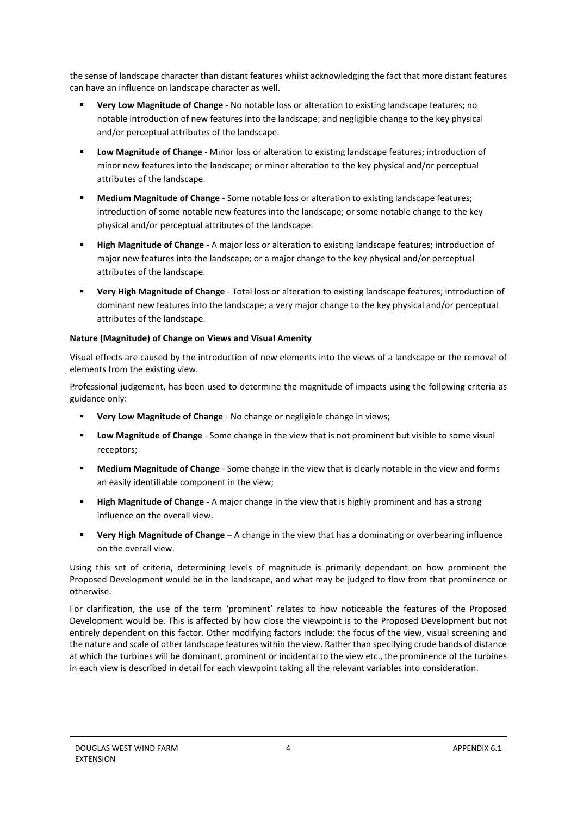the sense of landscape character than distant features whilst acknowledging the fact that more distant features can have an influence on landscape character as well.

- **Very Low Magnitude of Change** No notable loss or alteration to existing landscape features; no notable introduction of new features into the landscape; and negligible change to the key physical and/or perceptual attributes of the landscape.
- **Low Magnitude of Change** Minor loss or alteration to existing landscape features; introduction of minor new features into the landscape; or minor alteration to the key physical and/or perceptual attributes of the landscape.
- **Medium Magnitude of Change** Some notable loss or alteration to existing landscape features; introduction of some notable new features into the landscape; or some notable change to the key physical and/or perceptual attributes of the landscape.
- **High Magnitude of Change** A major loss or alteration to existing landscape features; introduction of major new features into the landscape; or a major change to the key physical and/or perceptual attributes of the landscape.
- **Very High Magnitude of Change** Total loss or alteration to existing landscape features; introduction of dominant new features into the landscape; a very major change to the key physical and/or perceptual attributes of the landscape.

### **Nature (Magnitude) of Change on Views and Visual Amenity**

Visual effects are caused by the introduction of new elements into the views of a landscape or the removal of elements from the existing view.

Professional judgement, has been used to determine the magnitude of impacts using the following criteria as guidance only:

- **Very Low Magnitude of Change** No change or negligible change in views;
- **Low Magnitude of Change** Some change in the view that is not prominent but visible to some visual receptors;
- **Medium Magnitude of Change** Some change in the view that is clearly notable in the view and forms an easily identifiable component in the view;
- **High Magnitude of Change** A major change in the view that is highly prominent and has a strong influence on the overall view.
- **Very High Magnitude of Change** A change in the view that has a dominating or overbearing influence on the overall view.

Using this set of criteria, determining levels of magnitude is primarily dependant on how prominent the Proposed Development would be in the landscape, and what may be judged to flow from that prominence or otherwise.

For clarification, the use of the term 'prominent' relates to how noticeable the features of the Proposed Development would be. This is affected by how close the viewpoint is to the Proposed Development but not entirely dependent on this factor. Other modifying factors include: the focus of the view, visual screening and the nature and scale of other landscape features within the view. Rather than specifying crude bands of distance at which the turbines will be dominant, prominent or incidental to the view etc., the prominence of the turbines in each view is described in detail for each viewpoint taking all the relevant variables into consideration.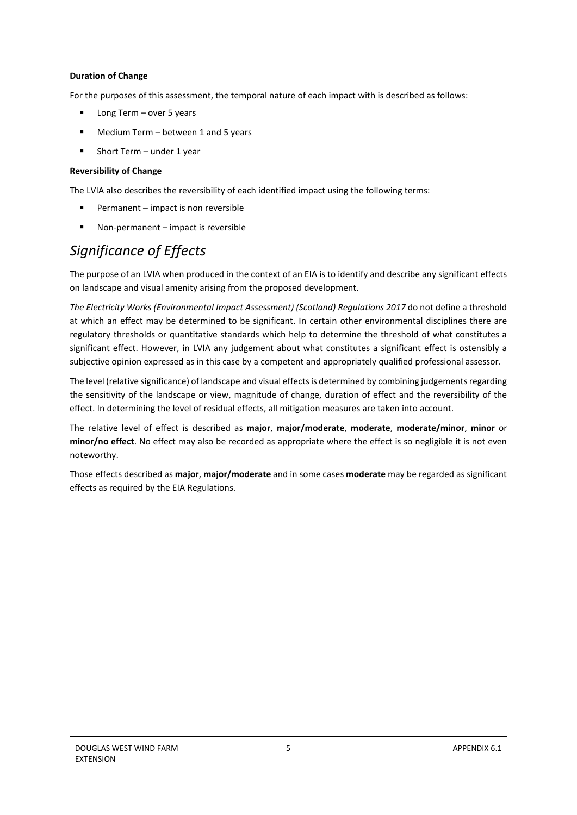### **Duration of Change**

For the purposes of this assessment, the temporal nature of each impact with is described as follows:

- **Long Term over 5 years**
- **Medium Term between 1 and 5 years**
- Short Term under 1 year

#### **Reversibility of Change**

The LVIA also describes the reversibility of each identified impact using the following terms:

- Permanent impact is non reversible
- Non-permanent impact is reversible

### <span id="page-6-0"></span>*Significance of Effects*

The purpose of an LVIA when produced in the context of an EIA is to identify and describe any significant effects on landscape and visual amenity arising from the proposed development.

*The Electricity Works (Environmental Impact Assessment) (Scotland) Regulations 2017* do not define a threshold at which an effect may be determined to be significant. In certain other environmental disciplines there are regulatory thresholds or quantitative standards which help to determine the threshold of what constitutes a significant effect. However, in LVIA any judgement about what constitutes a significant effect is ostensibly a subjective opinion expressed as in this case by a competent and appropriately qualified professional assessor.

The level (relative significance) of landscape and visual effects is determined by combining judgements regarding the sensitivity of the landscape or view, magnitude of change, duration of effect and the reversibility of the effect. In determining the level of residual effects, all mitigation measures are taken into account.

The relative level of effect is described as **major**, **major/moderate**, **moderate**, **moderate/minor**, **minor** or **minor/no effect**. No effect may also be recorded as appropriate where the effect is so negligible it is not even noteworthy.

Those effects described as **major**, **major/moderate** and in some cases **moderate** may be regarded as significant effects as required by the EIA Regulations.